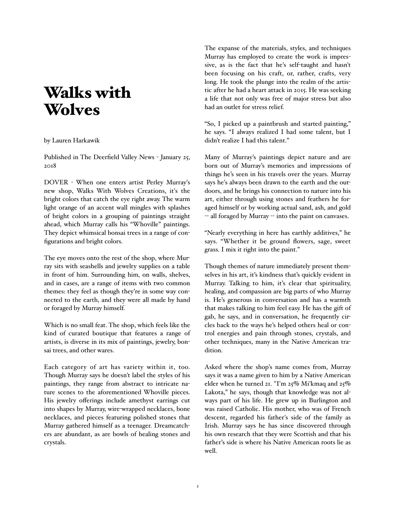## Walks with **Wolves**

## by Lauren Harkawik

Published in The Deerfield Valley News - January 25, 2018

DOVER - When one enters artist Perley Murray's new shop, Walks With Wolves Creations, it's the bright colors that catch the eye right away. The warm light orange of an accent wall mingles with splashes of bright colors in a grouping of paintings straight ahead, which Murray calls his "Whoville" paintings. They depict whimsical bonsai trees in a range of configurations and bright colors.

The eye moves onto the rest of the shop, where Murray sits with seashells and jewelry supplies on a table in front of him. Surrounding him, on walls, shelves, and in cases, are a range of items with two common themes: they feel as though they're in some way connected to the earth, and they were all made by hand or foraged by Murray himself.

Which is no small feat. The shop, which feels like the kind of curated boutique that features a range of artists, is diverse in its mix of paintings, jewelry, bonsai trees, and other wares.

Each category of art has variety within it, too. Though Murray says he doesn't label the styles of his paintings, they range from abstract to intricate nature scenes to the aforementioned Whoville pieces. His jewelry offerings include amethyst earrings cut into shapes by Murray, wire-wrapped necklaces, bone necklaces, and pieces featuring polished stones that Murray gathered himself as a teenager. Dreamcatchers are abundant, as are bowls of healing stones and crystals.

The expanse of the materials, styles, and techniques Murray has employed to create the work is impressive, as is the fact that he's self-taught and hasn't been focusing on his craft, or, rather, crafts, very long. He took the plunge into the realm of the artistic after he had a heart attack in 2015. He was seeking a life that not only was free of major stress but also had an outlet for stress relief.

"So, I picked up a paintbrush and started painting," he says. "I always realized I had some talent, but I didn't realize I had this talent."

Many of Murray's paintings depict nature and are born out of Murray's memories and impressions of things he's seen in his travels over the years. Murray says he's always been drawn to the earth and the outdoors, and he brings his connection to nature into his art, either through using stones and feathers he foraged himself or by working actual sand, ash, and gold -- all foraged by Murray -- into the paint on canvases.

"Nearly everything in here has earthly additives," he says. "Whether it be ground flowers, sage, sweet grass. I mix it right into the paint."

Though themes of nature immediately present themselves in his art, it's kindness that's quickly evident in Murray. Talking to him, it's clear that spirituality, healing, and compassion are big parts of who Murray is. He's generous in conversation and has a warmth that makes talking to him feel easy. He has the gift of gab, he says, and in conversation, he frequently circles back to the ways he's helped others heal or control energies and pain through stones, crystals, and other techniques, many in the Native American tradition.

Asked where the shop's name comes from, Murray says it was a name given to him by a Native American elder when he turned 21. "I'm 25% Mi'kmaq and 25% Lakota," he says, though that knowledge was not always part of his life. He grew up in Burlington and was raised Catholic. His mother, who was of French descent, regarded his father's side of the family as Irish. Murray says he has since discovered through his own research that they were Scottish and that his father's side is where his Native American roots lie as well.